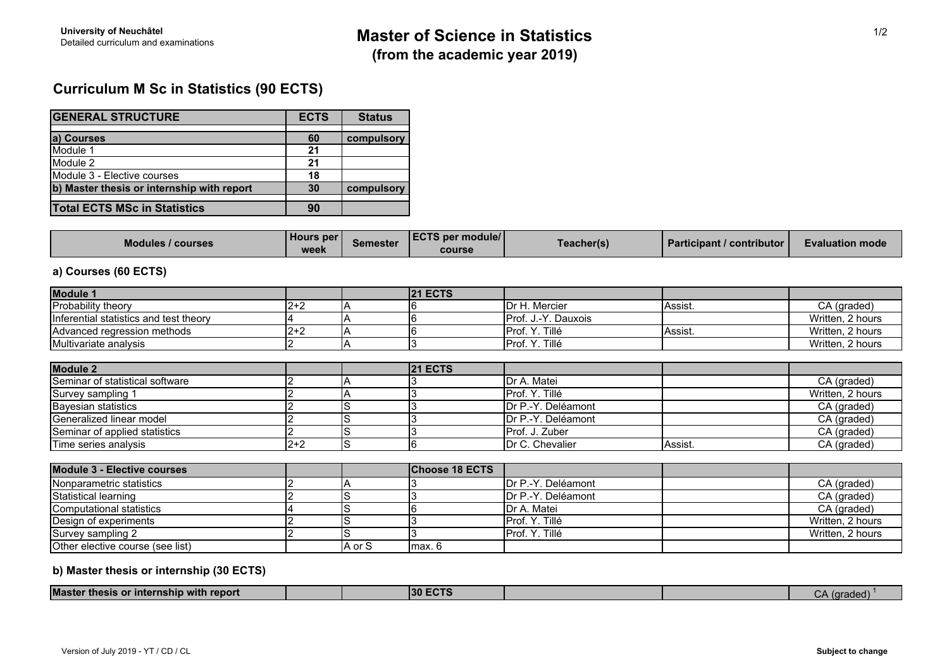# **Curriculum M Sc in Statistics (90 ECTS)**

| <b>GENERAL STRUCTURE</b>                   | <b>ECTS</b> | <b>Status</b> |
|--------------------------------------------|-------------|---------------|
|                                            |             |               |
| a) Courses                                 | 60          | compulsory    |
| Module 1                                   | 21          |               |
| Module 2                                   | 21          |               |
| Module 3 - Elective courses                | 18          |               |
| b) Master thesis or internship with report | 30          | compulsory    |
|                                            |             |               |
| <b>Total ECTS MSc in Statistics</b>        | 90          |               |

| <b>Modules / courses</b> | <b>Hours per</b><br>week | Semester | <b>LECTS per module/L</b><br>course | <b>Teacher(s)</b> | <b>Participant / contributor  </b> | <b>Evaluation mode</b> |
|--------------------------|--------------------------|----------|-------------------------------------|-------------------|------------------------------------|------------------------|
|--------------------------|--------------------------|----------|-------------------------------------|-------------------|------------------------------------|------------------------|

## **a) Courses (60 ECTS)**

| Module 1                               |         |        | <b>21 ECTS</b>        |                         |         |                  |
|----------------------------------------|---------|--------|-----------------------|-------------------------|---------|------------------|
| Probability theory                     | $2+2$   |        |                       | Dr H. Mercier           | Assist. | CA (graded)      |
| Inferential statistics and test theory |         |        |                       | Prof. J.-Y. Dauxois     |         | Written, 2 hours |
| Advanced regression methods            | $2 + 2$ |        |                       | Prof. Y. Tillé          | Assist. | Written, 2 hours |
| Multivariate analysis                  |         |        | ۰.                    | Prof. Y. Tillé          |         | Written, 2 hours |
|                                        |         |        |                       |                         |         |                  |
| <b>Module 2</b>                        |         |        | <b>21 ECTS</b>        |                         |         |                  |
| Seminar of statistical software        |         |        |                       | Dr A. Matei             |         | CA (graded)      |
| Survey sampling 1                      |         |        |                       | Prof. Y. Tillé          |         | Written, 2 hours |
| <b>Bayesian statistics</b>             |         | 5      |                       | Dr P.-Y. Deléamont      |         | CA (graded)      |
| Generalized linear model               |         |        |                       | Dr P.-Y. Deléamont      |         | CA (graded)      |
| Seminar of applied statistics          |         |        |                       | Prof. J. Zuber          |         | CA (graded)      |
| Time series analysis                   | $2 + 2$ | S      | 6                     | <b>IDr C. Chevalier</b> | Assist. | CA (graded)      |
| Module 3 - Elective courses            |         |        | <b>Choose 18 ECTS</b> |                         |         |                  |
| Nonparametric statistics               |         |        |                       | Dr P.-Y. Deléamont      |         | CA (graded)      |
| <b>Statistical learning</b>            |         |        |                       | Dr P.-Y. Deléamont      |         | CA (graded)      |
| Computational statistics               |         |        |                       | Dr A. Matei             |         | CA (graded)      |
| Design of experiments                  |         |        |                       | Prof. Y. Tillé          |         | Written, 2 hours |
| Survey sampling 2                      |         | lS     |                       | Prof. Y. Tillé          |         | Written, 2 hours |
| Other elective course (see list)       |         | A or S | max. 6                |                         |         |                  |

# **b) Master thesis or internship (30 ECTS)**

| <b>Master</b><br>.<br>with report<br>f<br>or Internsnip \<br>uiesis |  | юл<br>-- |  | arogoo<br>. <del>.</del> |  |
|---------------------------------------------------------------------|--|----------|--|--------------------------|--|